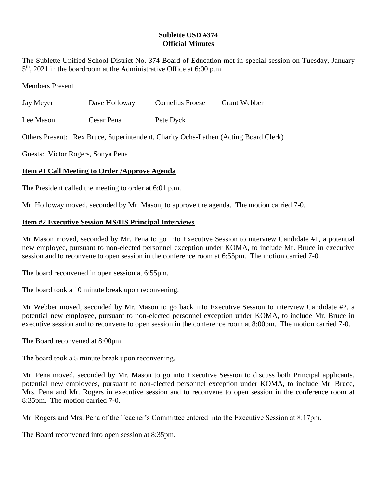## **Sublette USD #374 Official Minutes**

The Sublette Unified School District No. 374 Board of Education met in special session on Tuesday, January 5 th , 2021 in the boardroom at the Administrative Office at 6:00 p.m.

Members Present

| Jay Meyer | Dave Holloway | Cornelius Froese | <b>Grant Webber</b> |
|-----------|---------------|------------------|---------------------|
|           |               |                  |                     |

Lee Mason Cesar Pena Pete Dyck

Others Present: Rex Bruce, Superintendent, Charity Ochs-Lathen (Acting Board Clerk)

Guests: Victor Rogers, Sonya Pena

## **Item #1 Call Meeting to Order /Approve Agenda**

The President called the meeting to order at 6:01 p.m.

Mr. Holloway moved, seconded by Mr. Mason, to approve the agenda. The motion carried 7-0.

## **Item #2 Executive Session MS/HS Principal Interviews**

Mr Mason moved, seconded by Mr. Pena to go into Executive Session to interview Candidate #1, a potential new employee, pursuant to non-elected personnel exception under KOMA, to include Mr. Bruce in executive session and to reconvene to open session in the conference room at 6:55pm. The motion carried 7-0.

The board reconvened in open session at 6:55pm.

The board took a 10 minute break upon reconvening.

Mr Webber moved, seconded by Mr. Mason to go back into Executive Session to interview Candidate #2, a potential new employee, pursuant to non-elected personnel exception under KOMA, to include Mr. Bruce in executive session and to reconvene to open session in the conference room at 8:00pm. The motion carried 7-0.

The Board reconvened at 8:00pm.

The board took a 5 minute break upon reconvening.

Mr. Pena moved, seconded by Mr. Mason to go into Executive Session to discuss both Principal applicants, potential new employees, pursuant to non-elected personnel exception under KOMA, to include Mr. Bruce, Mrs. Pena and Mr. Rogers in executive session and to reconvene to open session in the conference room at 8:35pm. The motion carried 7-0.

Mr. Rogers and Mrs. Pena of the Teacher's Committee entered into the Executive Session at 8:17pm.

The Board reconvened into open session at 8:35pm.